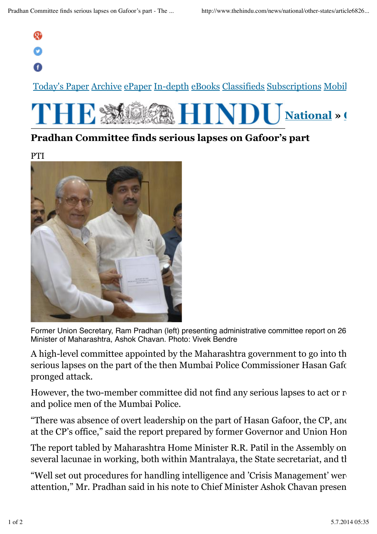## $\mathbf{Q}$

## A

Today's Paper Archive ePaper In-depth eBooks Classifieds Subscriptions Mobile



## **Pradhan Committee finds serious lapses on Gafoor's part**

PTI



Former Union Secretary, Ram Pradhan (left) presenting administrative committee report on 26 Minister of Maharashtra, Ashok Chavan. Photo: Vivek Bendre

A high-level committee appointed by the Maharashtra government to go into the serious lapses on the part of the then Mumbai Police Commissioner Hasan Gafoor in the part of the then Mumbai Police Commissioner Hasan Gafoor in  $\mu$ pronged attack.

However, the two-member committee did not find any serious lapses to act or  $r_1$ and police men of the Mumbai Police.

"There was absence of overt leadership on the part of Hasan Gafoor, the CP, and at the CP's office," said the report prepared by former Governor and Union Hon

The report tabled by Maharashtra Home Minister R.R. Patil in the Assembly on several lacunae in working, both within Mantralaya, the State secretariat, and the

"Well set out procedures for handling intelligence and 'Crisis Management' were attention," Mr. Pradhan said in his note to Chief Minister Ashok Chavan presen